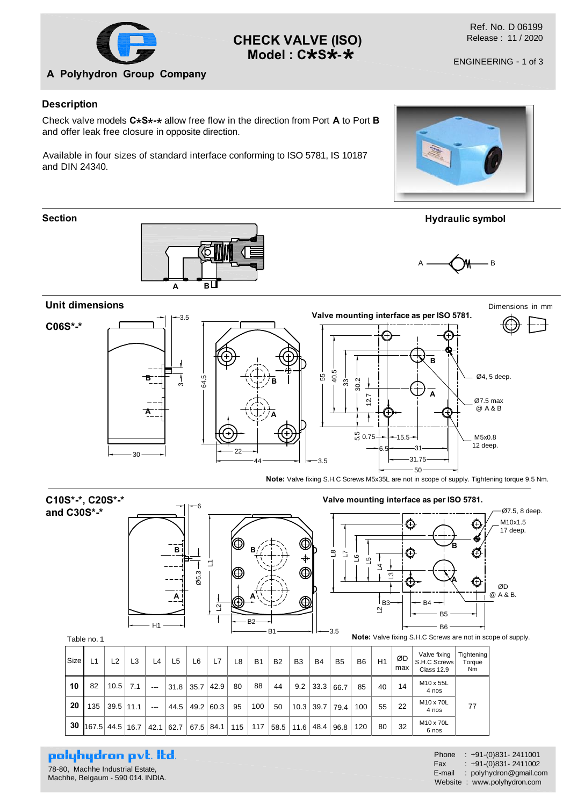

# **CHECK VALVE (ISO) Model : C\*S\*-\***

Ref. No. D 06199 Release : 11 / 2020

### **Description**

Check valve models C\*S\*-\* allow free flow in the direction from Port **A** to Port **B**<br>and effer leak free alogure in appeaite direction and offer leak free closure in opposite direction.

Available in four sizes of standard interface conforming to ISO 5781, IS 10187 and DIN 24340.









| C10S*-*, C20S*-*                         |                |    |                | Valve mounting interface as per ISO 5781.<br>⊫6 |                   |          |                      |           |                               |    |                     |           |                                     |                           | Ø7.5, 8 deep.                                                                                                      |                               |                                       |
|------------------------------------------|----------------|----|----------------|-------------------------------------------------|-------------------|----------|----------------------|-----------|-------------------------------|----|---------------------|-----------|-------------------------------------|---------------------------|--------------------------------------------------------------------------------------------------------------------|-------------------------------|---------------------------------------|
| and C30S*-*<br>Table no. 1               |                | H1 | Bi<br>A        | ო<br>8                                          | $\mathbf{\Omega}$ | (⊕<br> ⊕ | в,<br>B <sub>2</sub> | B1        | ⊕<br>⊕<br>$\circledcirc$<br>⋒ |    | $\Xi$<br>۲J<br>-3.5 | ڡ<br>ທ    | చ<br>l вз— <del>—</del><br>$\Delta$ | (+)<br>$\rm ^{\rm \odot}$ | $BA$ $-$<br>B <sub>5</sub><br>B <sub>6</sub><br><b>Note:</b> Valve fixing S.H.C Screws are not in scope of supply. | €<br>৩<br>$\boldsymbol{\Phi}$ | M10x1.5<br>17 deep.<br>ØD<br>@ A & B. |
| Size<br>L <sub>2</sub><br>L <sub>1</sub> | L <sub>3</sub> | L4 | L <sub>5</sub> | L6                                              | L7                | L8       | <b>B1</b>            | <b>B2</b> | B <sub>3</sub>                | B4 | B <sub>5</sub>      | <b>B6</b> | H1                                  | ØD                        | Valve fixing<br>S.H.C Screws                                                                                       | Tightening<br>Torque          |                                       |

| <b>Size</b> | L1              | L2   | L3   | L4    | L <sub>5</sub> | L6          | L7              | L8 | <b>B1</b> | <b>B2</b> | B <sub>3</sub> | <b>B4</b> | B <sub>5</sub> | B <sub>6</sub> | H1 | ØD<br>max                            | vaive rixing<br>S.H.C Screws<br><b>Class 12.9</b> | <b>Hantening</b><br>Torque<br>Nm |  |
|-------------|-----------------|------|------|-------|----------------|-------------|-----------------|----|-----------|-----------|----------------|-----------|----------------|----------------|----|--------------------------------------|---------------------------------------------------|----------------------------------|--|
| 10          | 82              | 10.5 | 7.1  | $---$ | 31.8           | $35.7$ 42.9 |                 | 80 | 88        | 44        | 9.2            | 33.3      | 66.7           | 85             | 40 | 14                                   | M10 x 55L<br>4 nos                                |                                  |  |
| 20          | 135             | 39.5 | 11.1 | $---$ | 44.5           | 49.2 60.3   |                 | 95 | 100       | 50        | 10.3           | 39.7      | 79.4           | 100            | 55 | 22                                   | M10 x 70L<br>4 nos                                | 77                               |  |
| 30          | 167.5 44.5 16.7 |      |      | 42.1  | 62.7           |             | $67.5$ 84.1 115 |    | 117       |           | 58.5 11.6      | 48.4      | 96.8           | 120            | 80 | M <sub>10</sub> x 70L<br>32<br>6 nos |                                                   |                                  |  |

polyhydron pvt. Itd.

78-80, Machhe Industrial Estate, Machhe, Belgaum - 590 014. INDIA.

Phone : +91-(0)831- 2411001 Fax : +91-(0)831- 2411002 E-mail : polyhydron@gmail.com Website : www.polyhydron.com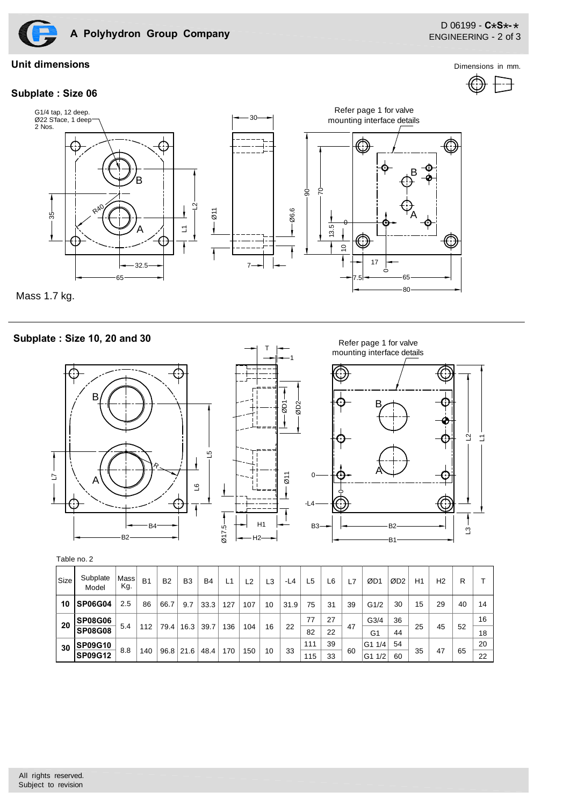

**Subplate : Size 06**

**Unit dimensions** Dimensions in mm.





Mass 1.7 kg.

### **Subplate : Size 10, 20 and 30**





T



| Table no. 2 |  |
|-------------|--|
|-------------|--|

| Size | Subplate<br>Model                | Mass<br>Kg. | B <sub>1</sub> | <b>B2</b>   | B <sub>3</sub> | <b>B4</b> | L <sub>1</sub> | L <sub>2</sub> | L <sub>3</sub> | -L4  | L5         | L6       | L7 | ØD1                    | ØD <sub>2</sub> | H1 | H <sub>2</sub> | R  |          |
|------|----------------------------------|-------------|----------------|-------------|----------------|-----------|----------------|----------------|----------------|------|------------|----------|----|------------------------|-----------------|----|----------------|----|----------|
| 10   | SP06G04                          | 2.5         | 86             | 66.7        | 9.7            | 33.3      | 127            | 107            | 10             | 31.9 | 75         | 31       | 39 | G1/2                   | 30              | 15 | 29             | 40 | 14       |
| 20   | <b>SP08G06</b><br><b>SP08G08</b> | 5.4         | 112            | 79.4        | 16.3           | 39.7      | 136            | 104            | 16             | 22   | 77<br>82   | 27<br>22 | 47 | G <sub>3/4</sub><br>G1 | 36<br>44        | 25 | 45             | 52 | 16<br>18 |
| 30   | <b>SP09G10</b><br><b>SP09G12</b> | 8.8         | 140            | $96.8$ 21.6 |                | 48.4      | 170            | 150            | 10             | 33   | 111<br>115 | 39<br>33 | 60 | G1 1/4<br>1/2<br>G1    | 54<br>60        | 35 | 47             | 65 | 20<br>22 |